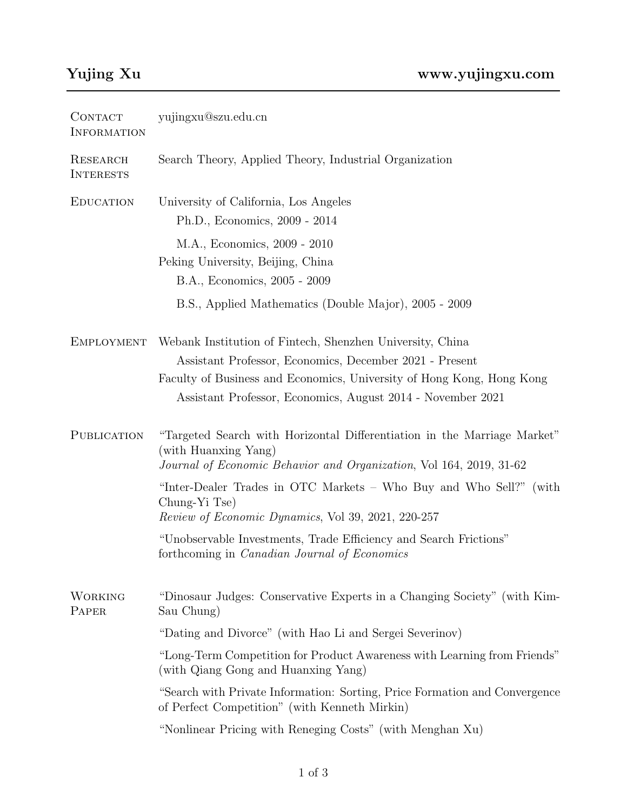| CONTACT<br><b>INFORMATION</b> | yujingxu@szu.edu.cn                                                                                                                                                                                                                                          |
|-------------------------------|--------------------------------------------------------------------------------------------------------------------------------------------------------------------------------------------------------------------------------------------------------------|
| RESEARCH<br><b>INTERESTS</b>  | Search Theory, Applied Theory, Industrial Organization                                                                                                                                                                                                       |
| <b>EDUCATION</b>              | University of California, Los Angeles<br>Ph.D., Economics, 2009 - 2014                                                                                                                                                                                       |
|                               | M.A., Economics, 2009 - 2010<br>Peking University, Beijing, China<br>B.A., Economics, 2005 - 2009                                                                                                                                                            |
|                               | B.S., Applied Mathematics (Double Major), 2005 - 2009                                                                                                                                                                                                        |
| EMPLOYMENT                    | Webank Institution of Fintech, Shenzhen University, China<br>Assistant Professor, Economics, December 2021 - Present<br>Faculty of Business and Economics, University of Hong Kong, Hong Kong<br>Assistant Professor, Economics, August 2014 - November 2021 |
| PUBLICATION                   | "Targeted Search with Horizontal Differentiation in the Marriage Market"<br>(with Huanxing Yang)<br>Journal of Economic Behavior and Organization, Vol 164, 2019, 31-62                                                                                      |
|                               | "Inter-Dealer Trades in OTC Markets – Who Buy and Who Sell?" (with<br>Chung-Yi Tse)<br>Review of Economic Dynamics, Vol 39, 2021, 220-257                                                                                                                    |
|                               | "Unobservable Investments, Trade Efficiency and Search Frictions"<br>forthcoming in <i>Canadian Journal of Economics</i>                                                                                                                                     |
| <b>WORKING</b><br>PAPER       | "Dinosaur Judges: Conservative Experts in a Changing Society" (with Kim-<br>Sau Chung)                                                                                                                                                                       |
|                               | "Dating and Divorce" (with Hao Li and Sergei Severinov)                                                                                                                                                                                                      |
|                               | "Long-Term Competition for Product Awareness with Learning from Friends"<br>(with Qiang Gong and Huanxing Yang)                                                                                                                                              |
|                               | "Search with Private Information: Sorting, Price Formation and Convergence<br>of Perfect Competition" (with Kenneth Mirkin)                                                                                                                                  |
|                               | "Nonlinear Pricing with Reneging Costs" (with Menghan Xu)                                                                                                                                                                                                    |
|                               |                                                                                                                                                                                                                                                              |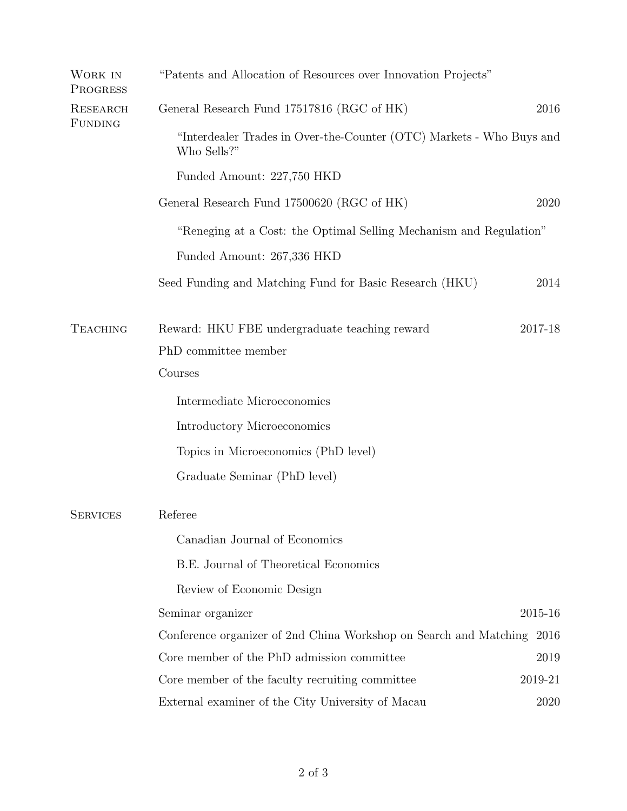| WORK IN<br>PROGRESS        | "Patents and Allocation of Resources over Innovation Projects"                      |             |
|----------------------------|-------------------------------------------------------------------------------------|-------------|
| RESEARCH<br><b>FUNDING</b> | General Research Fund 17517816 (RGC of HK)                                          | 2016        |
|                            | "Interdealer Trades in Over-the-Counter (OTC) Markets - Who Buys and<br>Who Sells?" |             |
|                            | Funded Amount: 227,750 HKD                                                          |             |
|                            | General Research Fund 17500620 (RGC of HK)                                          | 2020        |
|                            | "Reneging at a Cost: the Optimal Selling Mechanism and Regulation"                  |             |
|                            | Funded Amount: 267,336 HKD                                                          |             |
|                            | Seed Funding and Matching Fund for Basic Research (HKU)                             | 2014        |
| <b>TEACHING</b>            | Reward: HKU FBE undergraduate teaching reward                                       | $2017 - 18$ |
|                            | PhD committee member                                                                |             |
|                            | Courses                                                                             |             |
|                            | Intermediate Microeconomics                                                         |             |
|                            | Introductory Microeconomics                                                         |             |
|                            | Topics in Microeconomics (PhD level)                                                |             |
|                            | Graduate Seminar (PhD level)                                                        |             |
| <b>SERVICES</b>            | Referee                                                                             |             |
|                            | Canadian Journal of Economics                                                       |             |
|                            | B.E. Journal of Theoretical Economics                                               |             |
|                            | Review of Economic Design                                                           |             |
|                            | Seminar organizer                                                                   | 2015-16     |
|                            | Conference organizer of 2nd China Workshop on Search and Matching                   | 2016        |
|                            | Core member of the PhD admission committee                                          | 2019        |
|                            | Core member of the faculty recruiting committee                                     | 2019-21     |
|                            | External examiner of the City University of Macau                                   | 2020        |